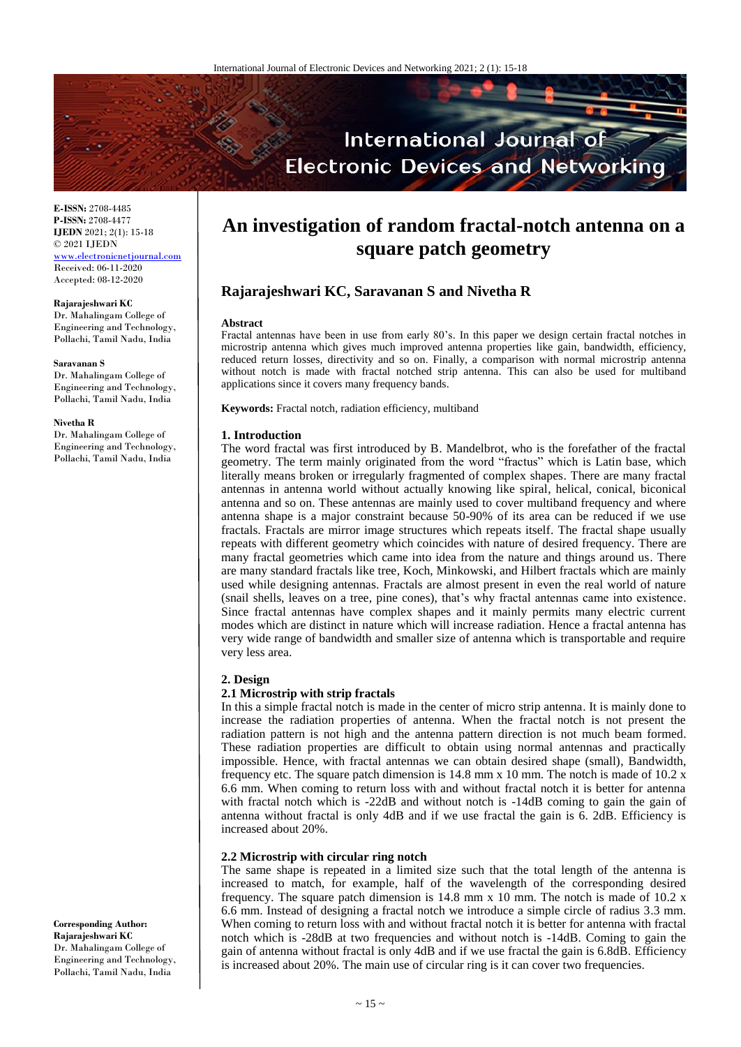

**E-ISSN:** 2708-4485 **P-ISSN:** 2708-4477 **IJEDN** 2021; 2(1): 15-18 © 2021 IJEDN <www.electronicnetjournal.com> Received: 06-11-2020 Accepted: 08-12-2020

## **Rajarajeshwari KC**

Dr. Mahalingam College of Engineering and Technology, Pollachi, Tamil Nadu, India

#### **Saravanan S**

Dr. Mahalingam College of Engineering and Technology, Pollachi, Tamil Nadu, India

#### **Nivetha R**

Dr. Mahalingam College of Engineering and Technology, Pollachi, Tamil Nadu, India

**An investigation of random fractal-notch antenna on a square patch geometry**

# **Rajarajeshwari KC, Saravanan S and Nivetha R**

### **Abstract**

Fractal antennas have been in use from early 80's. In this paper we design certain fractal notches in microstrip antenna which gives much improved antenna properties like gain, bandwidth, efficiency, reduced return losses, directivity and so on. Finally, a comparison with normal microstrip antenna without notch is made with fractal notched strip antenna. This can also be used for multiband applications since it covers many frequency bands.

**Keywords:** Fractal notch, radiation efficiency, multiband

#### **1. Introduction**

The word fractal was first introduced by B. Mandelbrot, who is the forefather of the fractal geometry. The term mainly originated from the word "fractus" which is Latin base, which literally means broken or irregularly fragmented of complex shapes. There are many fractal antennas in antenna world without actually knowing like spiral, helical, conical, biconical antenna and so on. These antennas are mainly used to cover multiband frequency and where antenna shape is a major constraint because 50-90% of its area can be reduced if we use fractals. Fractals are mirror image structures which repeats itself. The fractal shape usually repeats with different geometry which coincides with nature of desired frequency. There are many fractal geometries which came into idea from the nature and things around us. There are many standard fractals like tree, Koch, Minkowski, and Hilbert fractals which are mainly used while designing antennas. Fractals are almost present in even the real world of nature (snail shells, leaves on a tree, pine cones), that's why fractal antennas came into existence. Since fractal antennas have complex shapes and it mainly permits many electric current modes which are distinct in nature which will increase radiation. Hence a fractal antenna has very wide range of bandwidth and smaller size of antenna which is transportable and require very less area.

## **2. Design**

## **2.1 Microstrip with strip fractals**

In this a simple fractal notch is made in the center of micro strip antenna. It is mainly done to increase the radiation properties of antenna. When the fractal notch is not present the radiation pattern is not high and the antenna pattern direction is not much beam formed. These radiation properties are difficult to obtain using normal antennas and practically impossible. Hence, with fractal antennas we can obtain desired shape (small), Bandwidth, frequency etc. The square patch dimension is  $14.8$  mm x 10 mm. The notch is made of  $10.2$  x 6.6 mm. When coming to return loss with and without fractal notch it is better for antenna with fractal notch which is -22dB and without notch is -14dB coming to gain the gain of antenna without fractal is only 4dB and if we use fractal the gain is 6. 2dB. Efficiency is increased about 20%.

# **2.2 Microstrip with circular ring notch**

The same shape is repeated in a limited size such that the total length of the antenna is increased to match, for example, half of the wavelength of the corresponding desired frequency. The square patch dimension is  $14.8$  mm x 10 mm. The notch is made of 10.2 x 6.6 mm. Instead of designing a fractal notch we introduce a simple circle of radius 3.3 mm. When coming to return loss with and without fractal notch it is better for antenna with fractal notch which is -28dB at two frequencies and without notch is -14dB. Coming to gain the gain of antenna without fractal is only 4dB and if we use fractal the gain is 6.8dB. Efficiency is increased about 20%. The main use of circular ring is it can cover two frequencies.

**Corresponding Author: Rajarajeshwari KC** Dr. Mahalingam College of Engineering and Technology, Pollachi, Tamil Nadu, India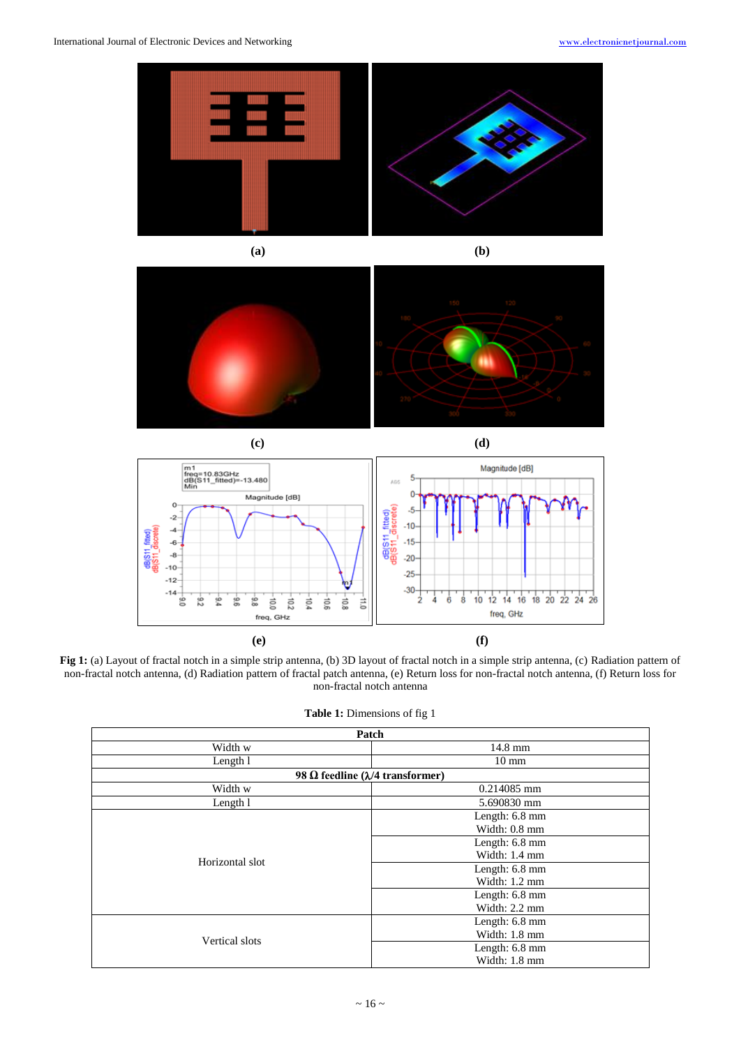

**(a) (b)**





**Fig 1:** (a) Layout of fractal notch in a simple strip antenna, (b) 3D layout of fractal notch in a simple strip antenna, (c) Radiation pattern of non-fractal notch antenna, (d) Radiation pattern of fractal patch antenna, (e) Return loss for non-fractal notch antenna, (f) Return loss for non-fractal notch antenna

|  | <b>Table 1:</b> Dimensions of fig 1 |  |  |
|--|-------------------------------------|--|--|
|--|-------------------------------------|--|--|

| Patch           |                                           |  |
|-----------------|-------------------------------------------|--|
| Width w         | $14.8$ mm                                 |  |
| Length 1        | $10 \text{ mm}$                           |  |
|                 | 98 Ω feedline ( $\lambda$ /4 transformer) |  |
| Width w         | $0.214085$ mm                             |  |
| Length 1        | 5.690830 mm                               |  |
| Horizontal slot | Length: 6.8 mm                            |  |
|                 | Width: $0.8 \text{ mm}$                   |  |
|                 | Length: $6.8$ mm                          |  |
|                 | Width: 1.4 mm                             |  |
|                 | Length: 6.8 mm                            |  |
|                 | Width: $1.2 \text{ mm}$                   |  |
|                 | Length: $6.8$ mm                          |  |
|                 | Width: $2.2 \text{ mm}$                   |  |
| Vertical slots  | Length: 6.8 mm                            |  |
|                 | Width: $1.8 \text{ mm}$                   |  |
|                 | Length: 6.8 mm                            |  |
|                 | Width: 1.8 mm                             |  |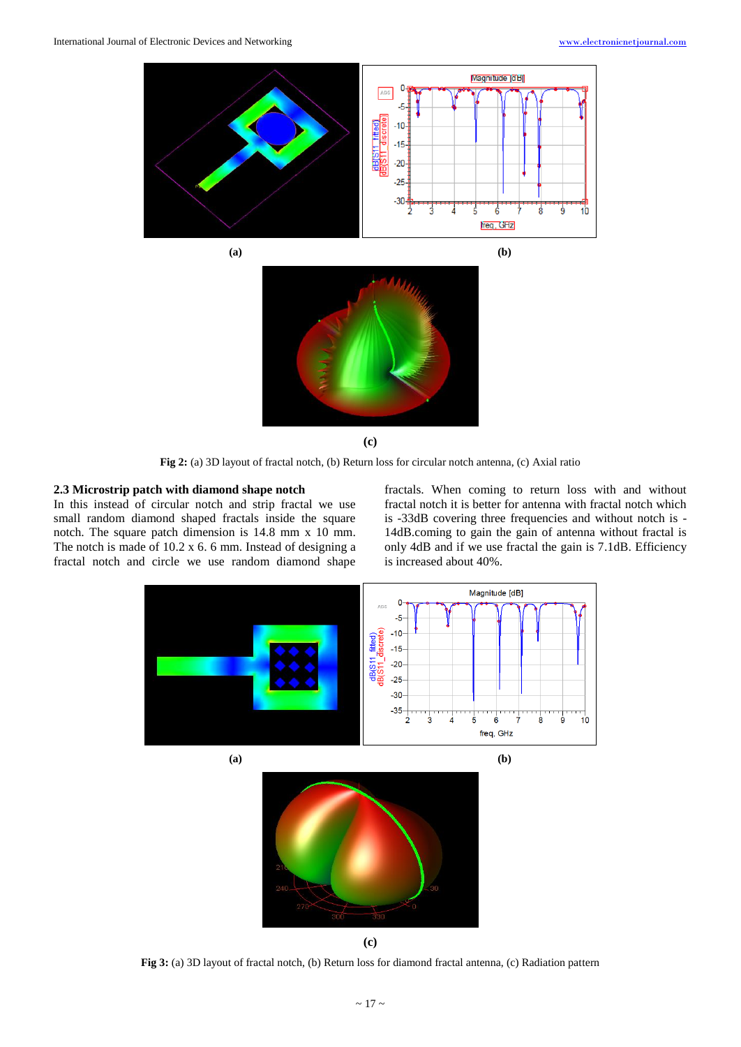

**(c)**

**Fig 2:** (a) 3D layout of fractal notch, (b) Return loss for circular notch antenna, (c) Axial ratio

## **2.3 Microstrip patch with diamond shape notch**

In this instead of circular notch and strip fractal we use small random diamond shaped fractals inside the square notch. The square patch dimension is 14.8 mm x 10 mm. The notch is made of 10.2 x 6. 6 mm. Instead of designing a fractal notch and circle we use random diamond shape fractals. When coming to return loss with and without fractal notch it is better for antenna with fractal notch which is -33dB covering three frequencies and without notch is - 14dB.coming to gain the gain of antenna without fractal is only 4dB and if we use fractal the gain is 7.1dB. Efficiency is increased about 40%.



**Fig 3:** (a) 3D layout of fractal notch, (b) Return loss for diamond fractal antenna, (c) Radiation pattern